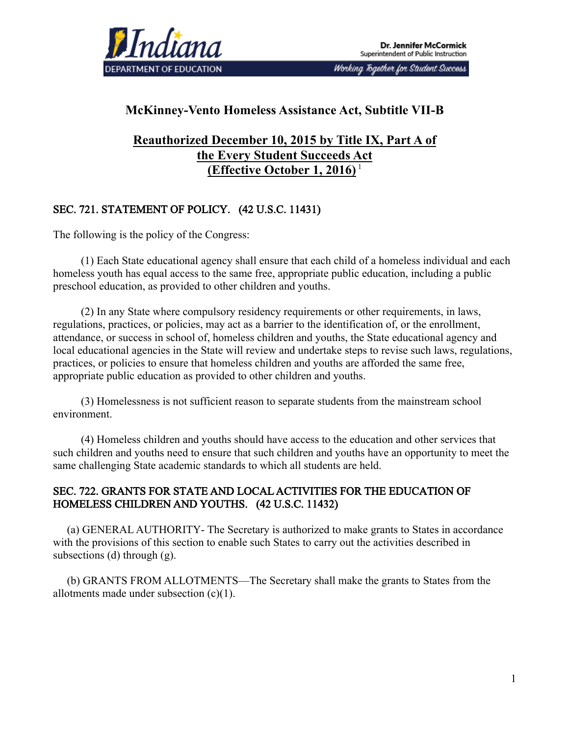

# **McKinney-Vento Homeless Assistance Act, Subtitle VII-B**

# **Reauthorized December 10, 2015 by Title IX, Part A of the Every Student Succeeds Act (Effective October 1, 2016)**<sup>1</sup>

## SEC. 721. STATEMENT OF POLICY. (42 U.S.C. 11431)

The following is the policy of the Congress:

 (1) Each State educational agency shall ensure that each child of a homeless individual and each homeless youth has equal access to the same free, appropriate public education, including a public preschool education, as provided to other children and youths.

 (2) In any State where compulsory residency requirements or other requirements, in laws, regulations, practices, or policies, may act as a barrier to the identification of, or the enrollment, attendance, or success in school of, homeless children and youths, the State educational agency and local educational agencies in the State will review and undertake steps to revise such laws, regulations, practices, or policies to ensure that homeless children and youths are afforded the same free, appropriate public education as provided to other children and youths.

 (3) Homelessness is not sufficient reason to separate students from the mainstream school environment.

 (4) Homeless children and youths should have access to the education and other services that such children and youths need to ensure that such children and youths have an opportunity to meet the same challenging State academic standards to which all students are held.

### SEC. 722. GRANTS FOR STATE AND LOCAL ACTIVITIES FOR THE EDUCATION OF HOMELESS CHILDREN AND YOUTHS. (42 U.S.C. 11432)

 (a) GENERAL AUTHORITY- The Secretary is authorized to make grants to States in accordance with the provisions of this section to enable such States to carry out the activities described in subsections (d) through (g).

 (b) GRANTS FROM ALLOTMENTS—The Secretary shall make the grants to States from the allotments made under subsection (c)(1).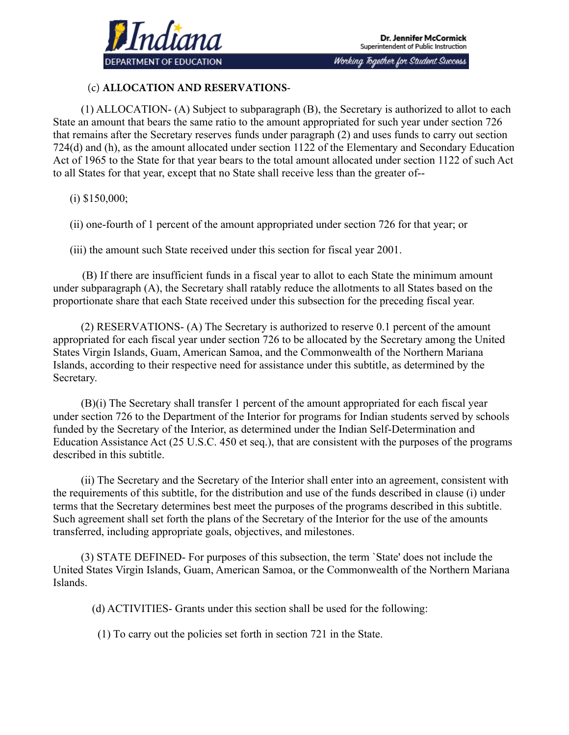

### (c) **ALLOCATION AND RESERVATIONS-**

 (1) ALLOCATION- (A) Subject to subparagraph (B), the Secretary is authorized to allot to each State an amount that bears the same ratio to the amount appropriated for such year under section 726 that remains after the Secretary reserves funds under paragraph (2) and uses funds to carry out section 724(d) and (h), as the amount allocated under section 1122 of the Elementary and Secondary Education Act of 1965 to the State for that year bears to the total amount allocated under section 1122 of such Act to all States for that year, except that no State shall receive less than the greater of--

(i) \$150,000;

(ii) one-fourth of 1 percent of the amount appropriated under section 726 for that year; or

(iii) the amount such State received under this section for fiscal year 2001.

 (B) If there are insufficient funds in a fiscal year to allot to each State the minimum amount under subparagraph (A), the Secretary shall ratably reduce the allotments to all States based on the proportionate share that each State received under this subsection for the preceding fiscal year.

 (2) RESERVATIONS- (A) The Secretary is authorized to reserve 0.1 percent of the amount appropriated for each fiscal year under section 726 to be allocated by the Secretary among the United States Virgin Islands, Guam, American Samoa, and the Commonwealth of the Northern Mariana Islands, according to their respective need for assistance under this subtitle, as determined by the Secretary.

 (B)(i) The Secretary shall transfer 1 percent of the amount appropriated for each fiscal year under section 726 to the Department of the Interior for programs for Indian students served by schools funded by the Secretary of the Interior, as determined under the Indian Self-Determination and Education Assistance Act (25 U.S.C. 450 et seq.), that are consistent with the purposes of the programs described in this subtitle.

 (ii) The Secretary and the Secretary of the Interior shall enter into an agreement, consistent with the requirements of this subtitle, for the distribution and use of the funds described in clause (i) under terms that the Secretary determines best meet the purposes of the programs described in this subtitle. Such agreement shall set forth the plans of the Secretary of the Interior for the use of the amounts transferred, including appropriate goals, objectives, and milestones.

 (3) STATE DEFINED- For purposes of this subsection, the term `State' does not include the United States Virgin Islands, Guam, American Samoa, or the Commonwealth of the Northern Mariana Islands.

(d) ACTIVITIES- Grants under this section shall be used for the following:

(1) To carry out the policies set forth in section 721 in the State.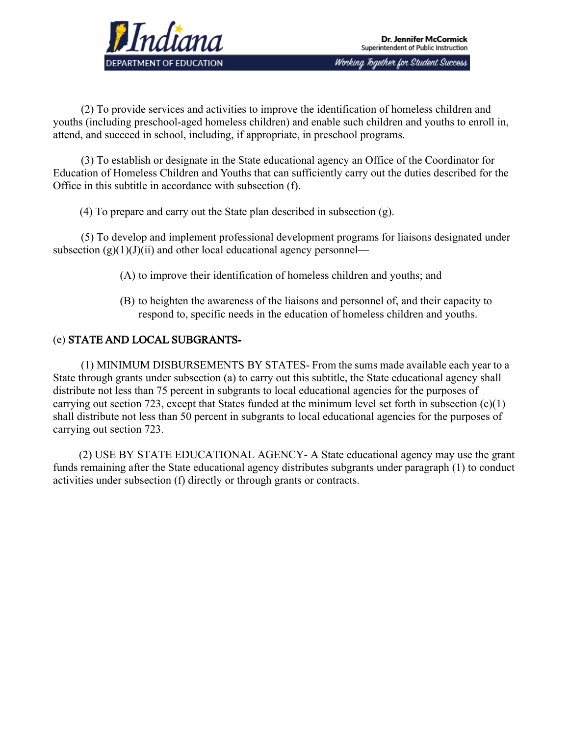

 (2) To provide services and activities to improve the identification of homeless children and youths (including preschool-aged homeless children) and enable such children and youths to enroll in, attend, and succeed in school, including, if appropriate, in preschool programs.

 (3) To establish or designate in the State educational agency an Office of the Coordinator for Education of Homeless Children and Youths that can sufficiently carry out the duties described for the Office in this subtitle in accordance with subsection (f).

(4) To prepare and carry out the State plan described in subsection (g).

 (5) To develop and implement professional development programs for liaisons designated under subsection  $(g)(1)(J)(ii)$  and other local educational agency personnel—

- (A) to improve their identification of homeless children and youths; and
- (B) to heighten the awareness of the liaisons and personnel of, and their capacity to respond to, specific needs in the education of homeless children and youths.

### (e) STATE AND LOCAL SUBGRANTS-

 (1) MINIMUM DISBURSEMENTS BY STATES- From the sums made available each year to a State through grants under subsection (a) to carry out this subtitle, the State educational agency shall distribute not less than 75 percent in subgrants to local educational agencies for the purposes of carrying out section 723, except that States funded at the minimum level set forth in subsection (c)(1) shall distribute not less than 50 percent in subgrants to local educational agencies for the purposes of carrying out section 723.

 (2) USE BY STATE EDUCATIONAL AGENCY- A State educational agency may use the grant funds remaining after the State educational agency distributes subgrants under paragraph (1) to conduct activities under subsection (f) directly or through grants or contracts.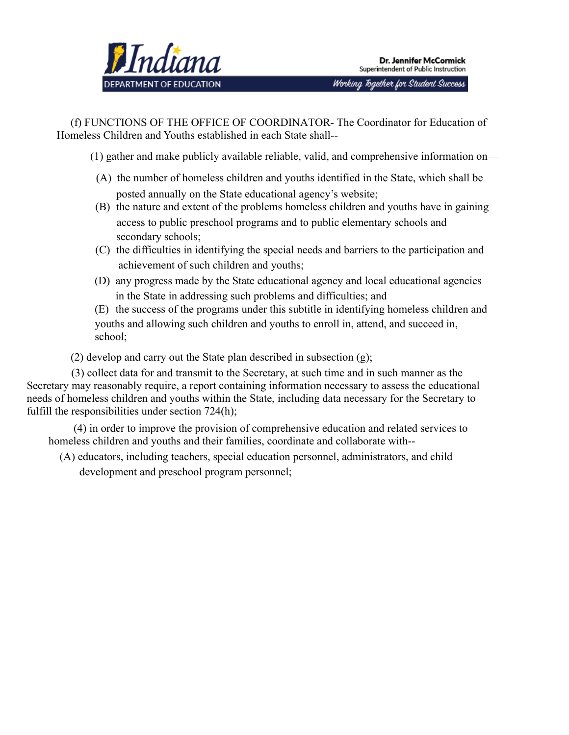

 (f) FUNCTIONS OF THE OFFICE OF COORDINATOR- The Coordinator for Education of Homeless Children and Youths established in each State shall--

(1) gather and make publicly available reliable, valid, and comprehensive information on—

- (A) the number of homeless children and youths identified in the State, which shall be posted annually on the State educational agency's website;
- (B) the nature and extent of the problems homeless children and youths have in gaining access to public preschool programs and to public elementary schools and secondary schools;
- (C) the difficulties in identifying the special needs and barriers to the participation and achievement of such children and youths;
- (D) any progress made by the State educational agency and local educational agencies in the State in addressing such problems and difficulties; and

(E) the success of the programs under this subtitle in identifying homeless children and youths and allowing such children and youths to enroll in, attend, and succeed in, school;

(2) develop and carry out the State plan described in subsection (g);

 (3) collect data for and transmit to the Secretary, at such time and in such manner as the Secretary may reasonably require, a report containing information necessary to assess the educational needs of homeless children and youths within the State, including data necessary for the Secretary to fulfill the responsibilities under section 724(h);

 (4) in order to improve the provision of comprehensive education and related services to homeless children and youths and their families, coordinate and collaborate with--

 (A) educators, including teachers, special education personnel, administrators, and child development and preschool program personnel;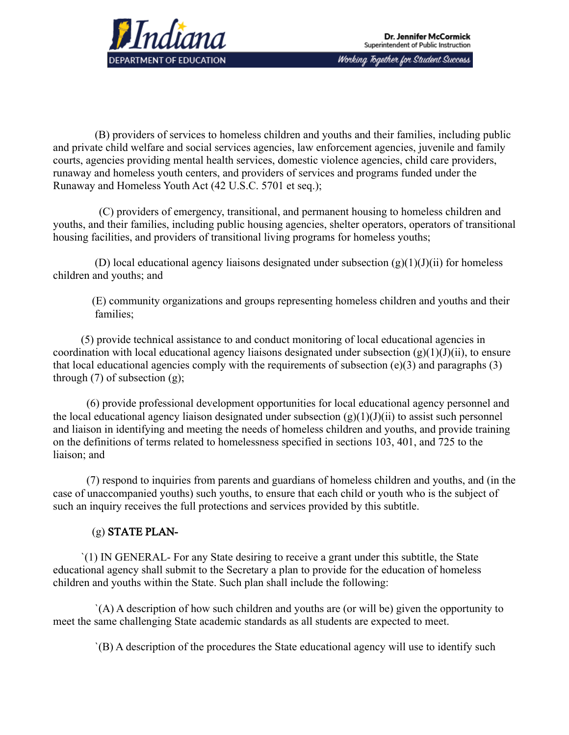

 (B) providers of services to homeless children and youths and their families, including public and private child welfare and social services agencies, law enforcement agencies, juvenile and family courts, agencies providing mental health services, domestic violence agencies, child care providers, runaway and homeless youth centers, and providers of services and programs funded under the Runaway and Homeless Youth Act (42 U.S.C. 5701 et seq.);

(C) providers of emergency, transitional, and permanent housing to homeless children and youths, and their families, including public housing agencies, shelter operators, operators of transitional housing facilities, and providers of transitional living programs for homeless youths;

(D) local educational agency liaisons designated under subsection  $(g)(1)(J)(ii)$  for homeless children and youths; and

 (E) community organizations and groups representing homeless children and youths and their families;

 (5) provide technical assistance to and conduct monitoring of local educational agencies in coordination with local educational agency liaisons designated under subsection  $(g)(1)(J)(ii)$ , to ensure that local educational agencies comply with the requirements of subsection (e)(3) and paragraphs (3) through  $(7)$  of subsection  $(g)$ ;

(6) provide professional development opportunities for local educational agency personnel and the local educational agency liaison designated under subsection  $(g)(1)(J)(ii)$  to assist such personnel and liaison in identifying and meeting the needs of homeless children and youths, and provide training on the definitions of terms related to homelessness specified in sections 103, 401, and 725 to the liaison; and

(7) respond to inquiries from parents and guardians of homeless children and youths, and (in the case of unaccompanied youths) such youths, to ensure that each child or youth who is the subject of such an inquiry receives the full protections and services provided by this subtitle.

### (g) STATE PLAN-

 `(1) IN GENERAL- For any State desiring to receive a grant under this subtitle, the State educational agency shall submit to the Secretary a plan to provide for the education of homeless children and youths within the State. Such plan shall include the following:

 `(A) A description of how such children and youths are (or will be) given the opportunity to meet the same challenging State academic standards as all students are expected to meet.

`(B) A description of the procedures the State educational agency will use to identify such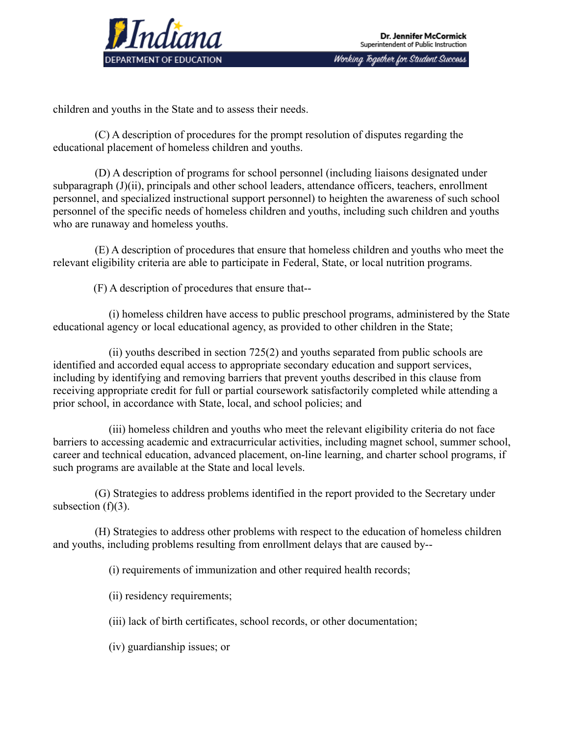

children and youths in the State and to assess their needs.

 (C) A description of procedures for the prompt resolution of disputes regarding the educational placement of homeless children and youths.

 (D) A description of programs for school personnel (including liaisons designated under subparagraph (J)(ii), principals and other school leaders, attendance officers, teachers, enrollment personnel, and specialized instructional support personnel) to heighten the awareness of such school personnel of the specific needs of homeless children and youths, including such children and youths who are runaway and homeless youths.

 (E) A description of procedures that ensure that homeless children and youths who meet the relevant eligibility criteria are able to participate in Federal, State, or local nutrition programs.

(F) A description of procedures that ensure that--

 (i) homeless children have access to public preschool programs, administered by the State educational agency or local educational agency, as provided to other children in the State;

(ii) youths described in section 725(2) and youths separated from public schools are identified and accorded equal access to appropriate secondary education and support services, including by identifying and removing barriers that prevent youths described in this clause from receiving appropriate credit for full or partial coursework satisfactorily completed while attending a prior school, in accordance with State, local, and school policies; and

(iii) homeless children and youths who meet the relevant eligibility criteria do not face barriers to accessing academic and extracurricular activities, including magnet school, summer school, career and technical education, advanced placement, on-line learning, and charter school programs, if such programs are available at the State and local levels.

 (G) Strategies to address problems identified in the report provided to the Secretary under subsection  $(f)(3)$ .

 (H) Strategies to address other problems with respect to the education of homeless children and youths, including problems resulting from enrollment delays that are caused by--

(i) requirements of immunization and other required health records;

- (ii) residency requirements;
- (iii) lack of birth certificates, school records, or other documentation;
- (iv) guardianship issues; or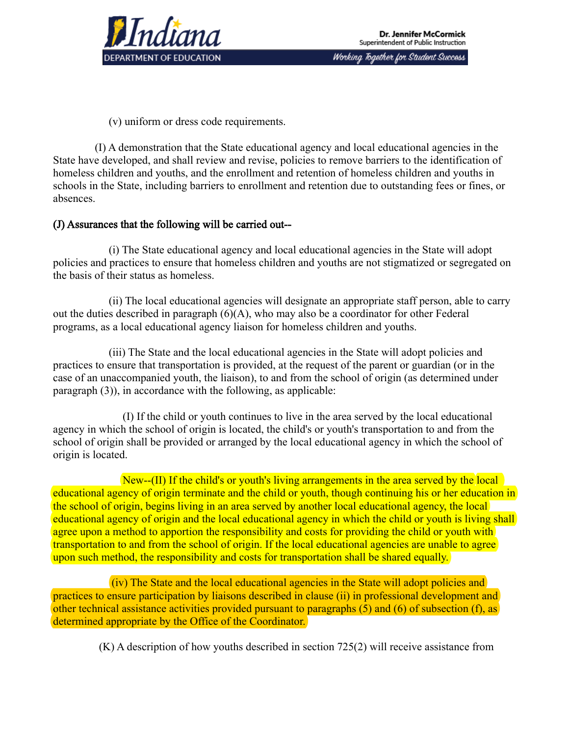

(v) uniform or dress code requirements.

 (I) A demonstration that the State educational agency and local educational agencies in the State have developed, and shall review and revise, policies to remove barriers to the identification of homeless children and youths, and the enrollment and retention of homeless children and youths in schools in the State, including barriers to enrollment and retention due to outstanding fees or fines, or absences.

### (J) Assurances that the following will be carried out--

(i) The State educational agency and local educational agencies in the State will adopt policies and practices to ensure that homeless children and youths are not stigmatized or segregated on the basis of their status as homeless.

(ii) The local educational agencies will designate an appropriate staff person, able to carry out the duties described in paragraph (6)(A), who may also be a coordinator for other Federal programs, as a local educational agency liaison for homeless children and youths.

(iii) The State and the local educational agencies in the State will adopt policies and practices to ensure that transportation is provided, at the request of the parent or guardian (or in the case of an unaccompanied youth, the liaison), to and from the school of origin (as determined under paragraph (3)), in accordance with the following, as applicable:

(I) If the child or youth continues to live in the area served by the local educational agency in which the school of origin is located, the child's or youth's transportation to and from the school of origin shall be provided or arranged by the local educational agency in which the school of origin is located.

New--(II) If the child's or youth's living arrangements in the area served by the local educational agency of origin terminate and the child or youth, though continuing his or her education in the school of origin, begins living in an area served by another local educational agency, the local educational agency of origin and the local educational agency in which the child or youth is living shall agree upon a method to apportion the responsibility and costs for providing the child or youth with transportation to and from the school of origin. If the local educational agencies are unable to agree upon such method, the responsibility and costs for transportation shall be shared equally.

(iv) The State and the local educational agencies in the State will adopt policies and practices to ensure participation by liaisons described in clause (ii) in professional development and other technical assistance activities provided pursuant to paragraphs (5) and (6) of subsection (f), as determined appropriate by the Office of the Coordinator.

(K) A description of how youths described in section 725(2) will receive assistance from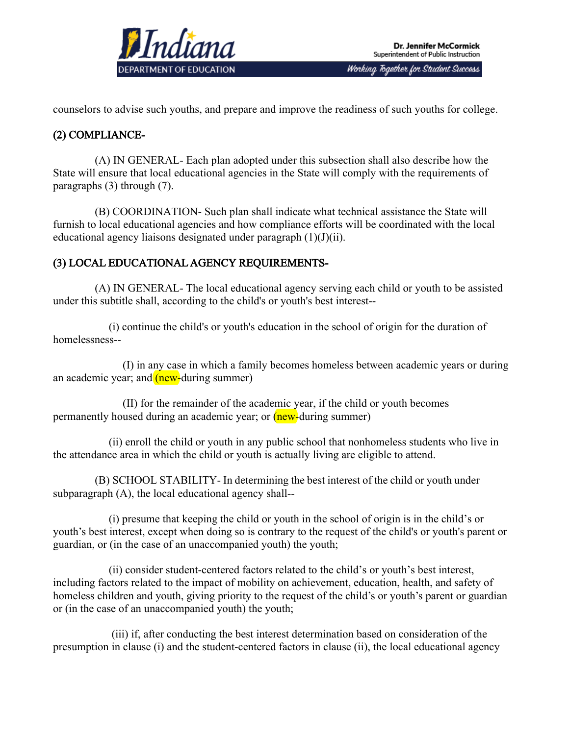

counselors to advise such youths, and prepare and improve the readiness of such youths for college.

## (2) COMPLIANCE-

 (A) IN GENERAL- Each plan adopted under this subsection shall also describe how the State will ensure that local educational agencies in the State will comply with the requirements of paragraphs (3) through (7).

 (B) COORDINATION- Such plan shall indicate what technical assistance the State will furnish to local educational agencies and how compliance efforts will be coordinated with the local educational agency liaisons designated under paragraph (1)(J)(ii).

### (3) LOCAL EDUCATIONAL AGENCY REQUIREMENTS-

 (A) IN GENERAL- The local educational agency serving each child or youth to be assisted under this subtitle shall, according to the child's or youth's best interest--

(i) continue the child's or youth's education in the school of origin for the duration of homelessness--

(I) in any case in which a family becomes homeless between academic years or during an academic year; and (new-during summer)

(II) for the remainder of the academic year, if the child or youth becomes permanently housed during an academic year; or (new-during summer)

(ii) enroll the child or youth in any public school that nonhomeless students who live in the attendance area in which the child or youth is actually living are eligible to attend.

 (B) SCHOOL STABILITY- In determining the best interest of the child or youth under subparagraph (A), the local educational agency shall--

(i) presume that keeping the child or youth in the school of origin is in the child's or youth's best interest, except when doing so is contrary to the request of the child's or youth's parent or guardian, or (in the case of an unaccompanied youth) the youth;

(ii) consider student-centered factors related to the child's or youth's best interest, including factors related to the impact of mobility on achievement, education, health, and safety of homeless children and youth, giving priority to the request of the child's or youth's parent or guardian or (in the case of an unaccompanied youth) the youth;

(iii) if, after conducting the best interest determination based on consideration of the presumption in clause (i) and the student-centered factors in clause (ii), the local educational agency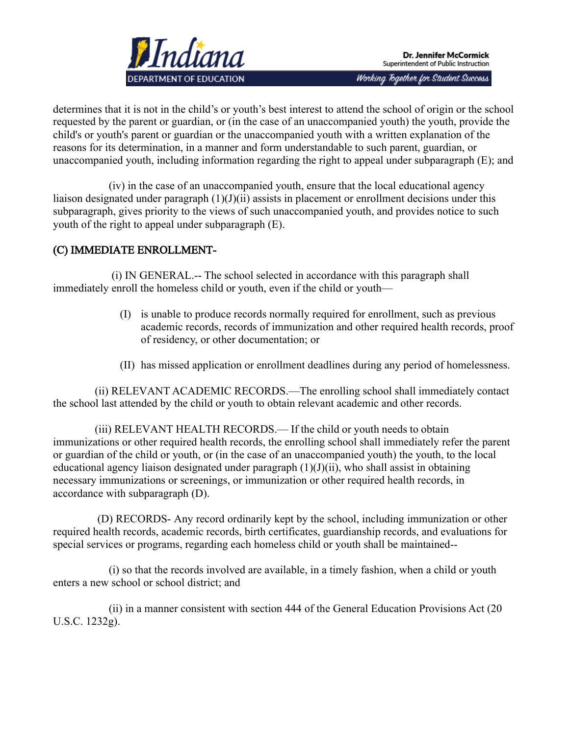

determines that it is not in the child's or youth's best interest to attend the school of origin or the school requested by the parent or guardian, or (in the case of an unaccompanied youth) the youth, provide the child's or youth's parent or guardian or the unaccompanied youth with a written explanation of the reasons for its determination, in a manner and form understandable to such parent, guardian, or unaccompanied youth, including information regarding the right to appeal under subparagraph (E); and

(iv) in the case of an unaccompanied youth, ensure that the local educational agency liaison designated under paragraph  $(1)(J)(ii)$  assists in placement or enrollment decisions under this subparagraph, gives priority to the views of such unaccompanied youth, and provides notice to such youth of the right to appeal under subparagraph (E).

### (C) IMMEDIATE ENROLLMENT-

(i) IN GENERAL.-- The school selected in accordance with this paragraph shall immediately enroll the homeless child or youth, even if the child or youth—

- (I) is unable to produce records normally required for enrollment, such as previous academic records, records of immunization and other required health records, proof of residency, or other documentation; or
- (II) has missed application or enrollment deadlines during any period of homelessness.

 (ii) RELEVANT ACADEMIC RECORDS.—The enrolling school shall immediately contact the school last attended by the child or youth to obtain relevant academic and other records.

 (iii) RELEVANT HEALTH RECORDS.— If the child or youth needs to obtain immunizations or other required health records, the enrolling school shall immediately refer the parent or guardian of the child or youth, or (in the case of an unaccompanied youth) the youth, to the local educational agency liaison designated under paragraph  $(1)(J)(ii)$ , who shall assist in obtaining necessary immunizations or screenings, or immunization or other required health records, in accordance with subparagraph (D).

 (D) RECORDS- Any record ordinarily kept by the school, including immunization or other required health records, academic records, birth certificates, guardianship records, and evaluations for special services or programs, regarding each homeless child or youth shall be maintained--

(i) so that the records involved are available, in a timely fashion, when a child or youth enters a new school or school district; and

(ii) in a manner consistent with section 444 of the General Education Provisions Act (20 U.S.C. 1232g).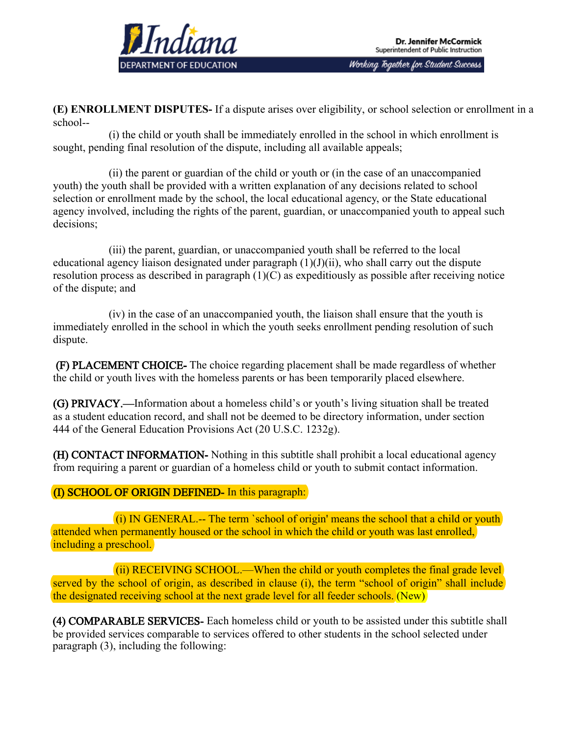

**(E) ENROLLMENT DISPUTES-** If a dispute arises over eligibility, or school selection or enrollment in a school--

(i) the child or youth shall be immediately enrolled in the school in which enrollment is sought, pending final resolution of the dispute, including all available appeals;

(ii) the parent or guardian of the child or youth or (in the case of an unaccompanied youth) the youth shall be provided with a written explanation of any decisions related to school selection or enrollment made by the school, the local educational agency, or the State educational agency involved, including the rights of the parent, guardian, or unaccompanied youth to appeal such decisions;

(iii) the parent, guardian, or unaccompanied youth shall be referred to the local educational agency liaison designated under paragraph  $(1)(J)(ii)$ , who shall carry out the dispute resolution process as described in paragraph (1)(C) as expeditiously as possible after receiving notice of the dispute; and

(iv) in the case of an unaccompanied youth, the liaison shall ensure that the youth is immediately enrolled in the school in which the youth seeks enrollment pending resolution of such dispute.

(F) PLACEMENT CHOICE- The choice regarding placement shall be made regardless of whether the child or youth lives with the homeless parents or has been temporarily placed elsewhere.

(G) PRIVACY.—Information about a homeless child's or youth's living situation shall be treated as a student education record, and shall not be deemed to be directory information, under section 444 of the General Education Provisions Act (20 U.S.C. 1232g).

(H) CONTACT INFORMATION- Nothing in this subtitle shall prohibit a local educational agency from requiring a parent or guardian of a homeless child or youth to submit contact information.

### (I) SCHOOL OF ORIGIN DEFINED- In this paragraph:

(i) IN GENERAL.-- The term `school of origin' means the school that a child or youth attended when permanently housed or the school in which the child or youth was last enrolled, including a preschool.

(ii) RECEIVING SCHOOL.—When the child or youth completes the final grade level served by the school of origin, as described in clause (i), the term "school of origin" shall include the designated receiving school at the next grade level for all feeder schools. (New)

(4) COMPARABLE SERVICES- Each homeless child or youth to be assisted under this subtitle shall be provided services comparable to services offered to other students in the school selected under paragraph (3), including the following: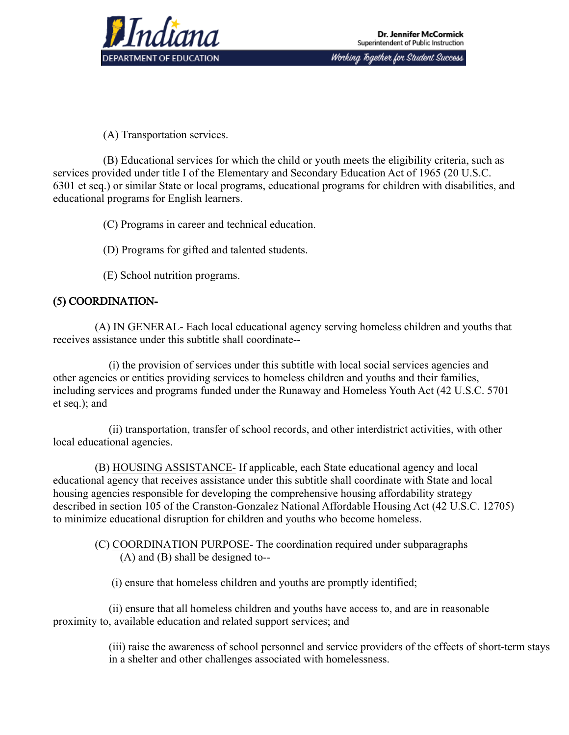

(A) Transportation services.

 (B) Educational services for which the child or youth meets the eligibility criteria, such as services provided under title I of the Elementary and Secondary Education Act of 1965 (20 U.S.C. 6301 et seq.) or similar State or local programs, educational programs for children with disabilities, and educational programs for English learners.

(C) Programs in career and technical education.

(D) Programs for gifted and talented students.

(E) School nutrition programs.

# (5) COORDINATION-

 (A) IN GENERAL- Each local educational agency serving homeless children and youths that receives assistance under this subtitle shall coordinate--

(i) the provision of services under this subtitle with local social services agencies and other agencies or entities providing services to homeless children and youths and their families, including services and programs funded under the Runaway and Homeless Youth Act (42 U.S.C. 5701 et seq.); and

(ii) transportation, transfer of school records, and other interdistrict activities, with other local educational agencies.

 (B) HOUSING ASSISTANCE- If applicable, each State educational agency and local educational agency that receives assistance under this subtitle shall coordinate with State and local housing agencies responsible for developing the comprehensive housing affordability strategy described in section 105 of the Cranston-Gonzalez National Affordable Housing Act (42 U.S.C. 12705) to minimize educational disruption for children and youths who become homeless.

- (C) COORDINATION PURPOSE- The coordination required under subparagraphs (A) and (B) shall be designed to--
	- (i) ensure that homeless children and youths are promptly identified;

(ii) ensure that all homeless children and youths have access to, and are in reasonable proximity to, available education and related support services; and

> (iii) raise the awareness of school personnel and service providers of the effects of short-term stays in a shelter and other challenges associated with homelessness.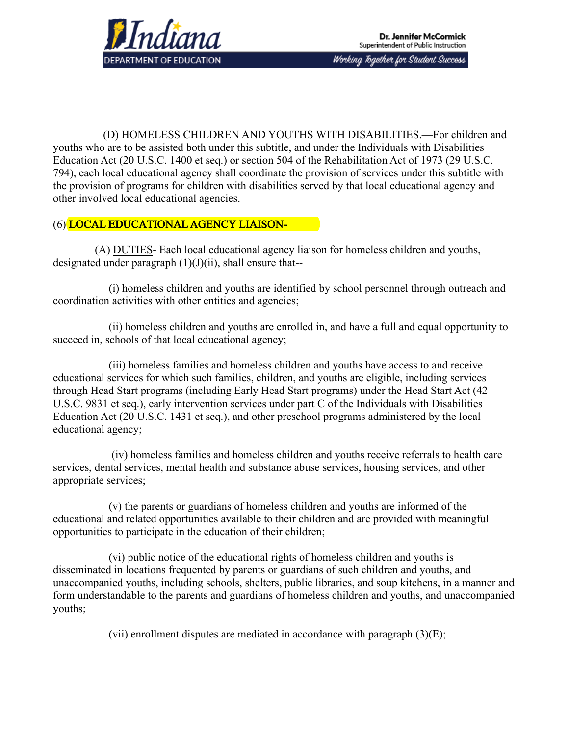

(D) HOMELESS CHILDREN AND YOUTHS WITH DISABILITIES.—For children and youths who are to be assisted both under this subtitle, and under the Individuals with Disabilities Education Act (20 U.S.C. 1400 et seq.) or section 504 of the Rehabilitation Act of 1973 (29 U.S.C. 794), each local educational agency shall coordinate the provision of services under this subtitle with the provision of programs for children with disabilities served by that local educational agency and other involved local educational agencies.

### (6) LOCAL EDUCATIONAL AGENCY LIAISON-

 (A) DUTIES- Each local educational agency liaison for homeless children and youths, designated under paragraph  $(1)(J)(ii)$ , shall ensure that--

(i) homeless children and youths are identified by school personnel through outreach and coordination activities with other entities and agencies;

(ii) homeless children and youths are enrolled in, and have a full and equal opportunity to succeed in, schools of that local educational agency;

(iii) homeless families and homeless children and youths have access to and receive educational services for which such families, children, and youths are eligible, including services through Head Start programs (including Early Head Start programs) under the Head Start Act (42 U.S.C. 9831 et seq.), early intervention services under part C of the Individuals with Disabilities Education Act (20 U.S.C. 1431 et seq.), and other preschool programs administered by the local educational agency;

(iv) homeless families and homeless children and youths receive referrals to health care services, dental services, mental health and substance abuse services, housing services, and other appropriate services;

(v) the parents or guardians of homeless children and youths are informed of the educational and related opportunities available to their children and are provided with meaningful opportunities to participate in the education of their children;

(vi) public notice of the educational rights of homeless children and youths is disseminated in locations frequented by parents or guardians of such children and youths, and unaccompanied youths, including schools, shelters, public libraries, and soup kitchens, in a manner and form understandable to the parents and guardians of homeless children and youths, and unaccompanied youths;

(vii) enrollment disputes are mediated in accordance with paragraph  $(3)(E)$ ;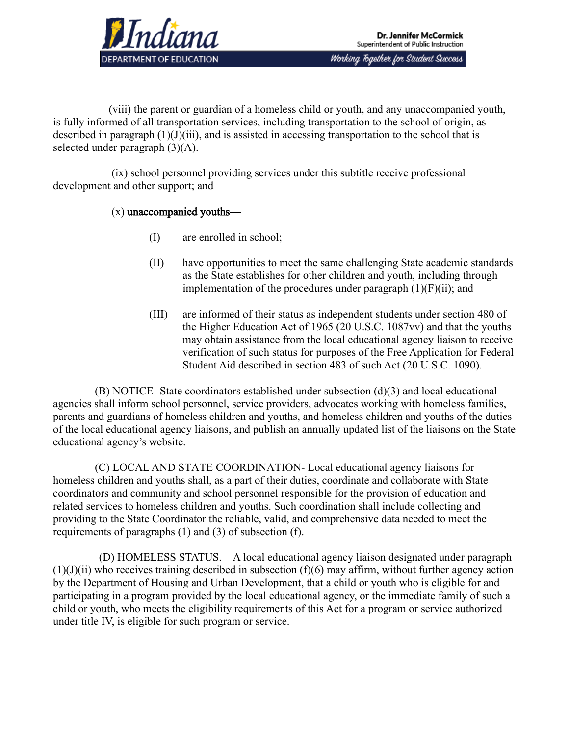

(viii) the parent or guardian of a homeless child or youth, and any unaccompanied youth, is fully informed of all transportation services, including transportation to the school of origin, as described in paragraph  $(1)(J)(iii)$ , and is assisted in accessing transportation to the school that is selected under paragraph (3)(A).

(ix) school personnel providing services under this subtitle receive professional development and other support; and

#### (x) unaccompanied youths—

- (I) are enrolled in school;
- (II) have opportunities to meet the same challenging State academic standards as the State establishes for other children and youth, including through implementation of the procedures under paragraph  $(1)(F)(ii)$ ; and
- (III) are informed of their status as independent students under section 480 of the Higher Education Act of 1965 (20 U.S.C. 1087vv) and that the youths may obtain assistance from the local educational agency liaison to receive verification of such status for purposes of the Free Application for Federal Student Aid described in section 483 of such Act (20 U.S.C. 1090).

 (B) NOTICE- State coordinators established under subsection (d)(3) and local educational agencies shall inform school personnel, service providers, advocates working with homeless families, parents and guardians of homeless children and youths, and homeless children and youths of the duties of the local educational agency liaisons, and publish an annually updated list of the liaisons on the State educational agency's website.

 (C) LOCAL AND STATE COORDINATION- Local educational agency liaisons for homeless children and youths shall, as a part of their duties, coordinate and collaborate with State coordinators and community and school personnel responsible for the provision of education and related services to homeless children and youths. Such coordination shall include collecting and providing to the State Coordinator the reliable, valid, and comprehensive data needed to meet the requirements of paragraphs (1) and (3) of subsection (f).

(D) HOMELESS STATUS.—A local educational agency liaison designated under paragraph  $(1)(J)(ii)$  who receives training described in subsection  $(f)(6)$  may affirm, without further agency action by the Department of Housing and Urban Development, that a child or youth who is eligible for and participating in a program provided by the local educational agency, or the immediate family of such a child or youth, who meets the eligibility requirements of this Act for a program or service authorized under title IV, is eligible for such program or service.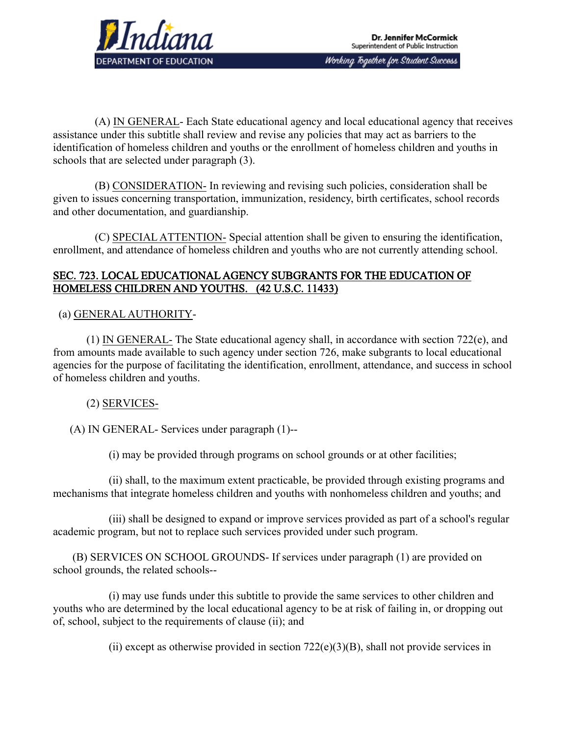

 (A) IN GENERAL- Each State educational agency and local educational agency that receives assistance under this subtitle shall review and revise any policies that may act as barriers to the identification of homeless children and youths or the enrollment of homeless children and youths in schools that are selected under paragraph (3).

 (B) CONSIDERATION- In reviewing and revising such policies, consideration shall be given to issues concerning transportation, immunization, residency, birth certificates, school records and other documentation, and guardianship.

 (C) SPECIAL ATTENTION- Special attention shall be given to ensuring the identification, enrollment, and attendance of homeless children and youths who are not currently attending school.

## SEC. 723. LOCAL EDUCATIONAL AGENCY SUBGRANTS FOR THE EDUCATION OF HOMELESS CHILDREN AND YOUTHS. (42 U.S.C. 11433)

## (a) GENERAL AUTHORITY-

 (1) IN GENERAL- The State educational agency shall, in accordance with section 722(e), and from amounts made available to such agency under section 726, make subgrants to local educational agencies for the purpose of facilitating the identification, enrollment, attendance, and success in school of homeless children and youths.

### (2) SERVICES-

(A) IN GENERAL- Services under paragraph (1)--

(i) may be provided through programs on school grounds or at other facilities;

(ii) shall, to the maximum extent practicable, be provided through existing programs and mechanisms that integrate homeless children and youths with nonhomeless children and youths; and

(iii) shall be designed to expand or improve services provided as part of a school's regular academic program, but not to replace such services provided under such program.

 (B) SERVICES ON SCHOOL GROUNDS- If services under paragraph (1) are provided on school grounds, the related schools--

(i) may use funds under this subtitle to provide the same services to other children and youths who are determined by the local educational agency to be at risk of failing in, or dropping out of, school, subject to the requirements of clause (ii); and

(ii) except as otherwise provided in section  $722(e)(3)(B)$ , shall not provide services in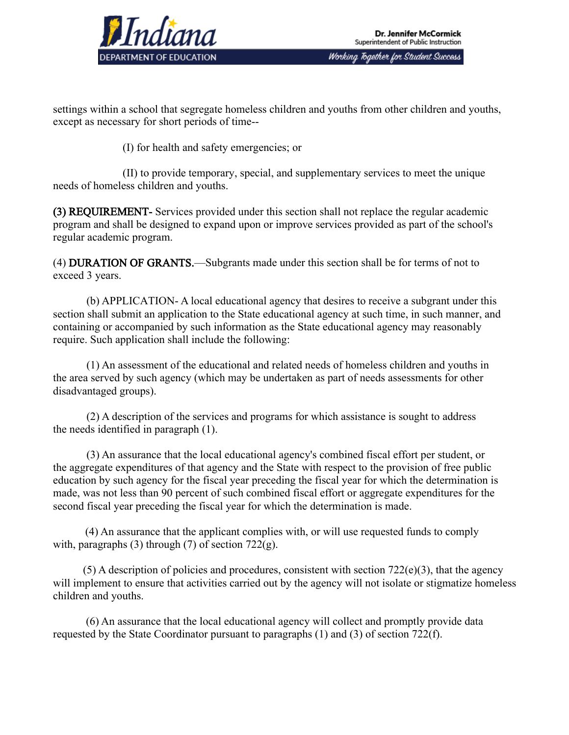

settings within a school that segregate homeless children and youths from other children and youths, except as necessary for short periods of time--

(I) for health and safety emergencies; or

(II) to provide temporary, special, and supplementary services to meet the unique needs of homeless children and youths.

(3) REQUIREMENT- Services provided under this section shall not replace the regular academic program and shall be designed to expand upon or improve services provided as part of the school's regular academic program.

(4) DURATION OF GRANTS.—Subgrants made under this section shall be for terms of not to exceed 3 years.

(b) APPLICATION- A local educational agency that desires to receive a subgrant under this section shall submit an application to the State educational agency at such time, in such manner, and containing or accompanied by such information as the State educational agency may reasonably require. Such application shall include the following:

 (1) An assessment of the educational and related needs of homeless children and youths in the area served by such agency (which may be undertaken as part of needs assessments for other disadvantaged groups).

 (2) A description of the services and programs for which assistance is sought to address the needs identified in paragraph (1).

 (3) An assurance that the local educational agency's combined fiscal effort per student, or the aggregate expenditures of that agency and the State with respect to the provision of free public education by such agency for the fiscal year preceding the fiscal year for which the determination is made, was not less than 90 percent of such combined fiscal effort or aggregate expenditures for the second fiscal year preceding the fiscal year for which the determination is made.

 (4) An assurance that the applicant complies with, or will use requested funds to comply with, paragraphs (3) through (7) of section  $722(g)$ .

 $(5)$  A description of policies and procedures, consistent with section 722(e)(3), that the agency will implement to ensure that activities carried out by the agency will not isolate or stigmatize homeless children and youths.

(6) An assurance that the local educational agency will collect and promptly provide data requested by the State Coordinator pursuant to paragraphs (1) and (3) of section 722(f).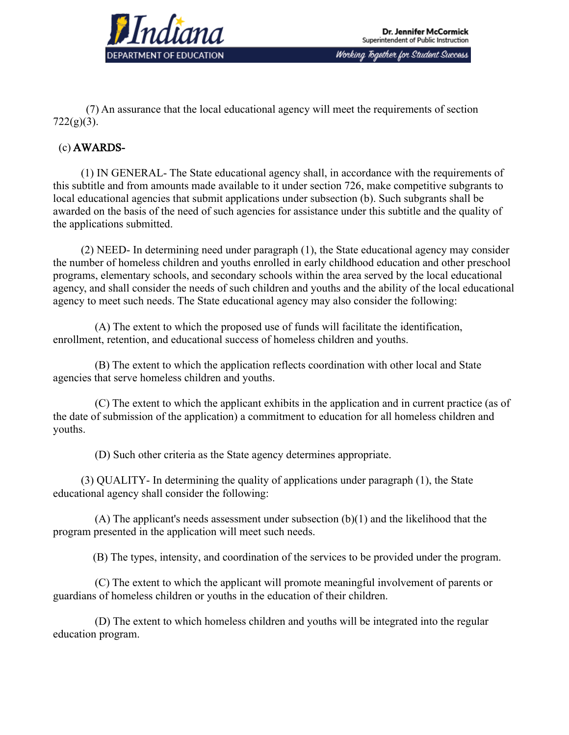

(7) An assurance that the local educational agency will meet the requirements of section  $722(g)(3)$ .

### (c) AWARDS-

 (1) IN GENERAL- The State educational agency shall, in accordance with the requirements of this subtitle and from amounts made available to it under section 726, make competitive subgrants to local educational agencies that submit applications under subsection (b). Such subgrants shall be awarded on the basis of the need of such agencies for assistance under this subtitle and the quality of the applications submitted.

 (2) NEED- In determining need under paragraph (1), the State educational agency may consider the number of homeless children and youths enrolled in early childhood education and other preschool programs, elementary schools, and secondary schools within the area served by the local educational agency, and shall consider the needs of such children and youths and the ability of the local educational agency to meet such needs. The State educational agency may also consider the following:

 (A) The extent to which the proposed use of funds will facilitate the identification, enrollment, retention, and educational success of homeless children and youths.

 (B) The extent to which the application reflects coordination with other local and State agencies that serve homeless children and youths.

 (C) The extent to which the applicant exhibits in the application and in current practice (as of the date of submission of the application) a commitment to education for all homeless children and youths.

(D) Such other criteria as the State agency determines appropriate.

 (3) QUALITY- In determining the quality of applications under paragraph (1), the State educational agency shall consider the following:

(A) The applicant's needs assessment under subsection  $(b)(1)$  and the likelihood that the program presented in the application will meet such needs.

(B) The types, intensity, and coordination of the services to be provided under the program.

 (C) The extent to which the applicant will promote meaningful involvement of parents or guardians of homeless children or youths in the education of their children.

 (D) The extent to which homeless children and youths will be integrated into the regular education program.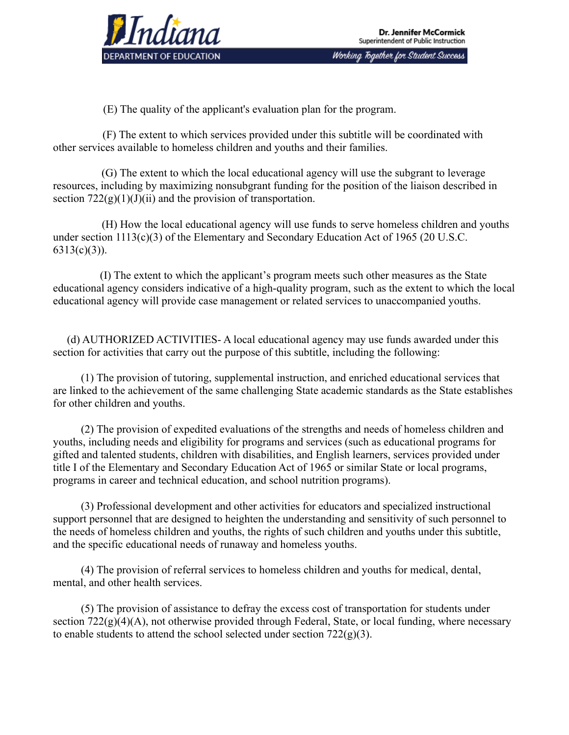

(E) The quality of the applicant's evaluation plan for the program.

 (F) The extent to which services provided under this subtitle will be coordinated with other services available to homeless children and youths and their families.

(G) The extent to which the local educational agency will use the subgrant to leverage resources, including by maximizing nonsubgrant funding for the position of the liaison described in section  $722(g)(1)(J)(ii)$  and the provision of transportation.

(H) How the local educational agency will use funds to serve homeless children and youths under section 1113(c)(3) of the Elementary and Secondary Education Act of 1965 (20 U.S.C.  $6313(c)(3)$ ).

 (I) The extent to which the applicant's program meets such other measures as the State educational agency considers indicative of a high-quality program, such as the extent to which the local educational agency will provide case management or related services to unaccompanied youths.

 (d) AUTHORIZED ACTIVITIES- A local educational agency may use funds awarded under this section for activities that carry out the purpose of this subtitle, including the following:

 (1) The provision of tutoring, supplemental instruction, and enriched educational services that are linked to the achievement of the same challenging State academic standards as the State establishes for other children and youths.

 (2) The provision of expedited evaluations of the strengths and needs of homeless children and youths, including needs and eligibility for programs and services (such as educational programs for gifted and talented students, children with disabilities, and English learners, services provided under title I of the Elementary and Secondary Education Act of 1965 or similar State or local programs, programs in career and technical education, and school nutrition programs).

 (3) Professional development and other activities for educators and specialized instructional support personnel that are designed to heighten the understanding and sensitivity of such personnel to the needs of homeless children and youths, the rights of such children and youths under this subtitle, and the specific educational needs of runaway and homeless youths.

 (4) The provision of referral services to homeless children and youths for medical, dental, mental, and other health services.

 (5) The provision of assistance to defray the excess cost of transportation for students under section  $722(g)(4)(A)$ , not otherwise provided through Federal, State, or local funding, where necessary to enable students to attend the school selected under section  $722(g)(3)$ .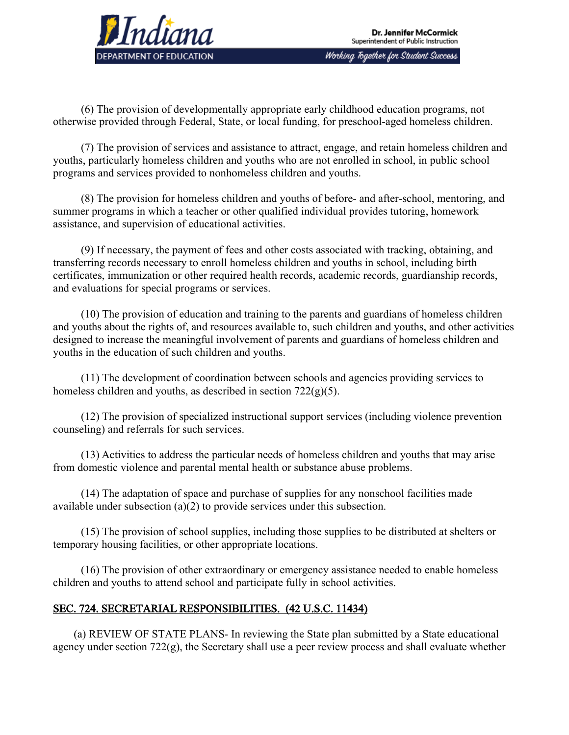

 (6) The provision of developmentally appropriate early childhood education programs, not otherwise provided through Federal, State, or local funding, for preschool-aged homeless children.

 (7) The provision of services and assistance to attract, engage, and retain homeless children and youths, particularly homeless children and youths who are not enrolled in school, in public school programs and services provided to nonhomeless children and youths.

 (8) The provision for homeless children and youths of before- and after-school, mentoring, and summer programs in which a teacher or other qualified individual provides tutoring, homework assistance, and supervision of educational activities.

 (9) If necessary, the payment of fees and other costs associated with tracking, obtaining, and transferring records necessary to enroll homeless children and youths in school, including birth certificates, immunization or other required health records, academic records, guardianship records, and evaluations for special programs or services.

 (10) The provision of education and training to the parents and guardians of homeless children and youths about the rights of, and resources available to, such children and youths, and other activities designed to increase the meaningful involvement of parents and guardians of homeless children and youths in the education of such children and youths.

 (11) The development of coordination between schools and agencies providing services to homeless children and youths, as described in section  $722(g)(5)$ .

 (12) The provision of specialized instructional support services (including violence prevention counseling) and referrals for such services.

 (13) Activities to address the particular needs of homeless children and youths that may arise from domestic violence and parental mental health or substance abuse problems.

 (14) The adaptation of space and purchase of supplies for any nonschool facilities made available under subsection (a)(2) to provide services under this subsection.

 (15) The provision of school supplies, including those supplies to be distributed at shelters or temporary housing facilities, or other appropriate locations.

 (16) The provision of other extraordinary or emergency assistance needed to enable homeless children and youths to attend school and participate fully in school activities.

# SEC. 724. SECRETARIAL RESPONSIBILITIES. (42 U.S.C. 11434)

 (a) REVIEW OF STATE PLANS- In reviewing the State plan submitted by a State educational agency under section 722(g), the Secretary shall use a peer review process and shall evaluate whether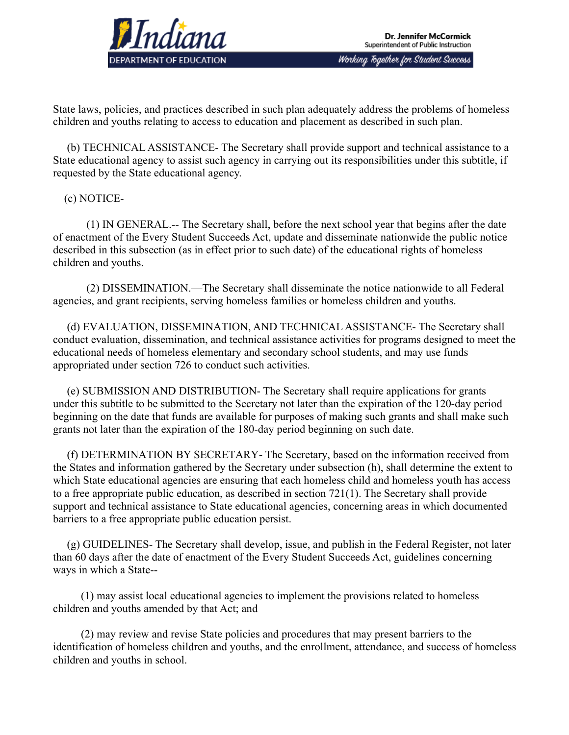

State laws, policies, and practices described in such plan adequately address the problems of homeless children and youths relating to access to education and placement as described in such plan.

 (b) TECHNICAL ASSISTANCE- The Secretary shall provide support and technical assistance to a State educational agency to assist such agency in carrying out its responsibilities under this subtitle, if requested by the State educational agency.

### (c) NOTICE-

(1) IN GENERAL.-- The Secretary shall, before the next school year that begins after the date of enactment of the Every Student Succeeds Act, update and disseminate nationwide the public notice described in this subsection (as in effect prior to such date) of the educational rights of homeless children and youths.

(2) DISSEMINATION.—The Secretary shall disseminate the notice nationwide to all Federal agencies, and grant recipients, serving homeless families or homeless children and youths.

 (d) EVALUATION, DISSEMINATION, AND TECHNICAL ASSISTANCE- The Secretary shall conduct evaluation, dissemination, and technical assistance activities for programs designed to meet the educational needs of homeless elementary and secondary school students, and may use funds appropriated under section 726 to conduct such activities.

 (e) SUBMISSION AND DISTRIBUTION- The Secretary shall require applications for grants under this subtitle to be submitted to the Secretary not later than the expiration of the 120-day period beginning on the date that funds are available for purposes of making such grants and shall make such grants not later than the expiration of the 180-day period beginning on such date.

 (f) DETERMINATION BY SECRETARY- The Secretary, based on the information received from the States and information gathered by the Secretary under subsection (h), shall determine the extent to which State educational agencies are ensuring that each homeless child and homeless youth has access to a free appropriate public education, as described in section 721(1). The Secretary shall provide support and technical assistance to State educational agencies, concerning areas in which documented barriers to a free appropriate public education persist.

 (g) GUIDELINES- The Secretary shall develop, issue, and publish in the Federal Register, not later than 60 days after the date of enactment of the Every Student Succeeds Act, guidelines concerning ways in which a State--

 (1) may assist local educational agencies to implement the provisions related to homeless children and youths amended by that Act; and

 (2) may review and revise State policies and procedures that may present barriers to the identification of homeless children and youths, and the enrollment, attendance, and success of homeless children and youths in school.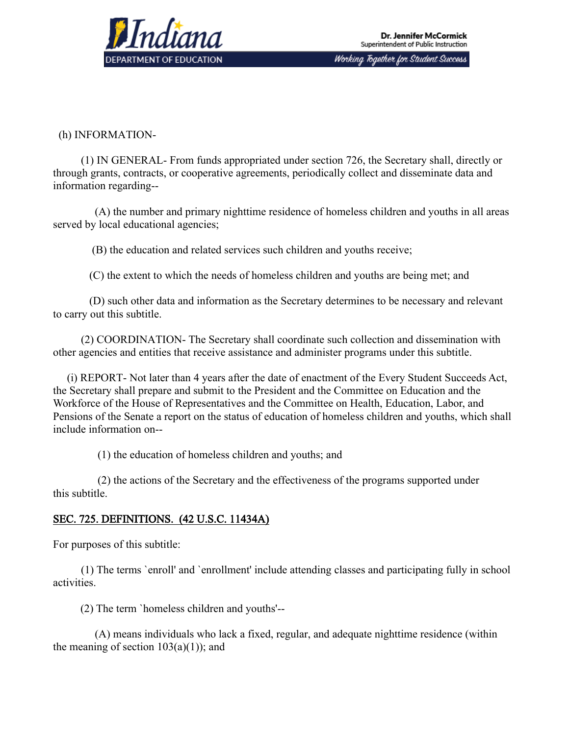

(h) INFORMATION-

 (1) IN GENERAL- From funds appropriated under section 726, the Secretary shall, directly or through grants, contracts, or cooperative agreements, periodically collect and disseminate data and information regarding--

 (A) the number and primary nighttime residence of homeless children and youths in all areas served by local educational agencies;

(B) the education and related services such children and youths receive;

(C) the extent to which the needs of homeless children and youths are being met; and

 (D) such other data and information as the Secretary determines to be necessary and relevant to carry out this subtitle.

 (2) COORDINATION- The Secretary shall coordinate such collection and dissemination with other agencies and entities that receive assistance and administer programs under this subtitle.

 (i) REPORT- Not later than 4 years after the date of enactment of the Every Student Succeeds Act, the Secretary shall prepare and submit to the President and the Committee on Education and the Workforce of the House of Representatives and the Committee on Health, Education, Labor, and Pensions of the Senate a report on the status of education of homeless children and youths, which shall include information on--

(1) the education of homeless children and youths; and

 (2) the actions of the Secretary and the effectiveness of the programs supported under this subtitle.

### SEC. 725. DEFINITIONS. (42 U.S.C. 11434A)

For purposes of this subtitle:

 (1) The terms `enroll' and `enrollment' include attending classes and participating fully in school activities.

(2) The term `homeless children and youths'--

 (A) means individuals who lack a fixed, regular, and adequate nighttime residence (within the meaning of section  $103(a)(1)$ ; and